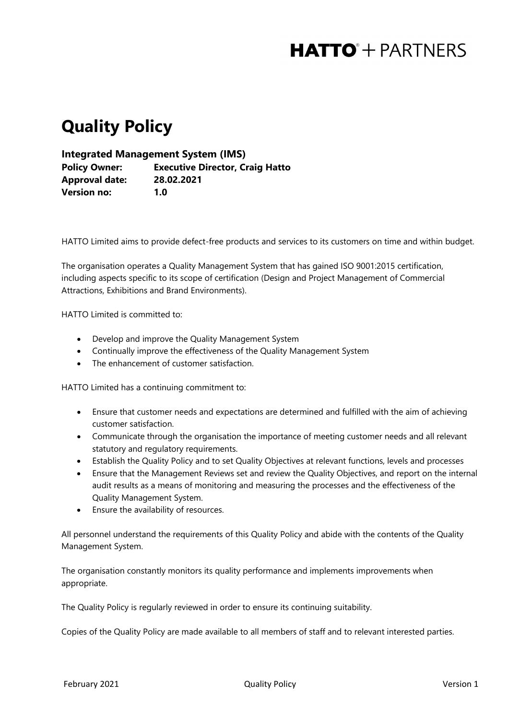## **HATTO**<sup>+</sup> PARTNERS

## **Quality Policy**

**Integrated Management System (IMS)**

**Policy Owner: Executive Director, Craig Hatto Approval date: 28.02.2021 Version no: 1.0**

HATTO Limited aims to provide defect-free products and services to its customers on time and within budget.

The organisation operates a Quality Management System that has gained ISO 9001:2015 certification, including aspects specific to its scope of certification (Design and Project Management of Commercial Attractions, Exhibitions and Brand Environments).

HATTO Limited is committed to:

- Develop and improve the Quality Management System
- Continually improve the effectiveness of the Quality Management System
- The enhancement of customer satisfaction.

HATTO Limited has a continuing commitment to:

- Ensure that customer needs and expectations are determined and fulfilled with the aim of achieving customer satisfaction.
- Communicate through the organisation the importance of meeting customer needs and all relevant statutory and regulatory requirements.
- Establish the Quality Policy and to set Quality Objectives at relevant functions, levels and processes
- Ensure that the Management Reviews set and review the Quality Objectives, and report on the internal audit results as a means of monitoring and measuring the processes and the effectiveness of the Quality Management System.
- Ensure the availability of resources.

All personnel understand the requirements of this Quality Policy and abide with the contents of the Quality Management System.

The organisation constantly monitors its quality performance and implements improvements when appropriate.

The Quality Policy is regularly reviewed in order to ensure its continuing suitability.

Copies of the Quality Policy are made available to all members of staff and to relevant interested parties.